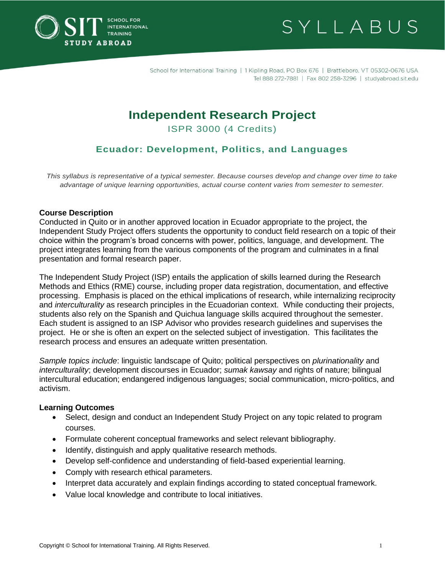



School for International Training | 1 Kipling Road, PO Box 676 | Brattleboro, VT 05302-0676 USA Tel 888 272-7881 | Fax 802 258-3296 | studyabroad.sit.edu

# **Independent Research Project**

ISPR 3000 (4 Credits)

# **Ecuador: Development, Politics, and Languages**

*This syllabus is representative of a typical semester. Because courses develop and change over time to take advantage of unique learning opportunities, actual course content varies from semester to semester.*

#### **Course Description**

Conducted in Quito or in another approved location in Ecuador appropriate to the project, the Independent Study Project offers students the opportunity to conduct field research on a topic of their choice within the program's broad concerns with power, politics, language, and development. The project integrates learning from the various components of the program and culminates in a final presentation and formal research paper.

The Independent Study Project (ISP) entails the application of skills learned during the Research Methods and Ethics (RME) course, including proper data registration, documentation, and effective processing. Emphasis is placed on the ethical implications of research, while internalizing reciprocity and *interculturality* as research principles in the Ecuadorian context. While conducting their projects, students also rely on the Spanish and Quichua language skills acquired throughout the semester. Each student is assigned to an ISP Advisor who provides research guidelines and supervises the project. He or she is often an expert on the selected subject of investigation. This facilitates the research process and ensures an adequate written presentation.

*Sample topics include*: linguistic landscape of Quito; political perspectives on *plurinationality* and *interculturality*; development discourses in Ecuador; *sumak kawsay* and rights of nature; bilingual intercultural education; endangered indigenous languages; social communication, micro-politics, and activism.

#### **Learning Outcomes**

- Select, design and conduct an Independent Study Project on any topic related to program courses.
- Formulate coherent conceptual frameworks and select relevant bibliography.
- Identify, distinguish and apply qualitative research methods.
- Develop self-confidence and understanding of field-based experiential learning.
- Comply with research ethical parameters.
- Interpret data accurately and explain findings according to stated conceptual framework.
- Value local knowledge and contribute to local initiatives.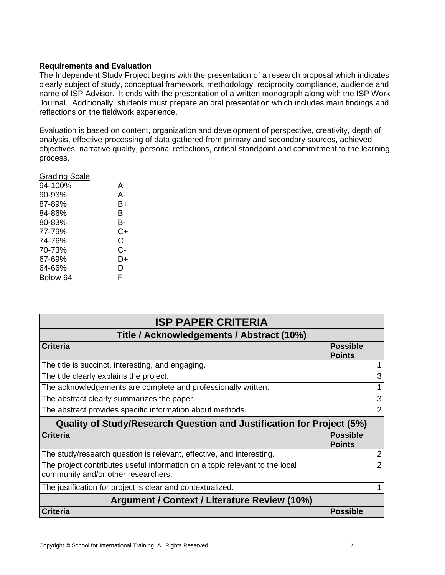## **Requirements and Evaluation**

The Independent Study Project begins with the presentation of a research proposal which indicates clearly subject of study, conceptual framework, methodology, reciprocity compliance, audience and name of ISP Advisor. It ends with the presentation of a written monograph along with the ISP Work Journal. Additionally, students must prepare an oral presentation which includes main findings and reflections on the fieldwork experience.

Evaluation is based on content, organization and development of perspective, creativity, depth of analysis, effective processing of data gathered from primary and secondary sources, achieved objectives, narrative quality, personal reflections, critical standpoint and commitment to the learning process.

| Grading Scale |    |
|---------------|----|
| 94-100%       | A  |
| 90-93%        | А- |
| 87-89%        | B+ |
| 84-86%        | в  |
| 80-83%        | в- |
| 77-79%        | C+ |
| 74-76%        | С  |
| 70-73%        | C- |
| 67-69%        | D+ |
| 64-66%        | D  |
| Below 64      | F  |
|               |    |

| <b>ISP PAPER CRITERIA</b>                                                                                          |                                  |  |
|--------------------------------------------------------------------------------------------------------------------|----------------------------------|--|
| Title / Acknowledgements / Abstract (10%)                                                                          |                                  |  |
| <b>Criteria</b>                                                                                                    | <b>Possible</b><br><b>Points</b> |  |
| The title is succinct, interesting, and engaging.                                                                  |                                  |  |
| The title clearly explains the project.                                                                            | 3                                |  |
| The acknowledgements are complete and professionally written.                                                      |                                  |  |
| The abstract clearly summarizes the paper.                                                                         | 3                                |  |
| The abstract provides specific information about methods.                                                          | 2                                |  |
| Quality of Study/Research Question and Justification for Project (5%)                                              |                                  |  |
| <b>Criteria</b>                                                                                                    | <b>Possible</b><br><b>Points</b> |  |
| The study/research question is relevant, effective, and interesting.                                               | 2                                |  |
| The project contributes useful information on a topic relevant to the local<br>community and/or other researchers. | $\mathcal{P}$                    |  |
| The justification for project is clear and contextualized.                                                         |                                  |  |
| Argument / Context / Literature Review (10%)                                                                       |                                  |  |
| <b>Criteria</b>                                                                                                    | <b>Possible</b>                  |  |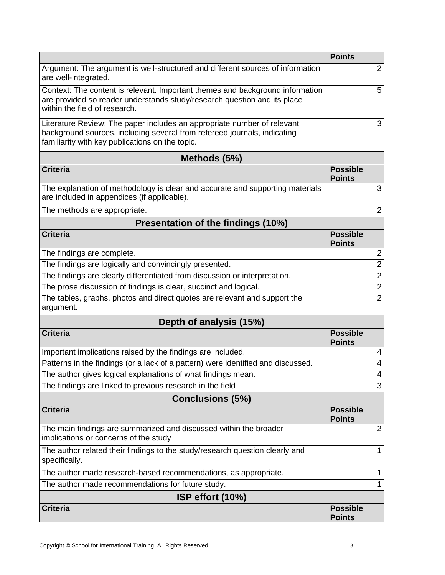|                                                                                                                                                                                                        | <b>Points</b>                    |  |  |
|--------------------------------------------------------------------------------------------------------------------------------------------------------------------------------------------------------|----------------------------------|--|--|
| Argument: The argument is well-structured and different sources of information<br>are well-integrated.                                                                                                 | 2                                |  |  |
| Context: The content is relevant. Important themes and background information<br>are provided so reader understands study/research question and its place<br>within the field of research.             | 5                                |  |  |
| Literature Review: The paper includes an appropriate number of relevant<br>background sources, including several from refereed journals, indicating<br>familiarity with key publications on the topic. | 3                                |  |  |
| Methods (5%)                                                                                                                                                                                           |                                  |  |  |
| <b>Criteria</b>                                                                                                                                                                                        | <b>Possible</b><br><b>Points</b> |  |  |
| The explanation of methodology is clear and accurate and supporting materials<br>are included in appendices (if applicable).                                                                           | 3                                |  |  |
| The methods are appropriate.                                                                                                                                                                           | $\overline{2}$                   |  |  |
| Presentation of the findings (10%)                                                                                                                                                                     |                                  |  |  |
| <b>Criteria</b>                                                                                                                                                                                        | <b>Possible</b><br><b>Points</b> |  |  |
| The findings are complete.                                                                                                                                                                             | $\overline{2}$                   |  |  |
| The findings are logically and convincingly presented.                                                                                                                                                 | $\overline{2}$                   |  |  |
| The findings are clearly differentiated from discussion or interpretation.                                                                                                                             | $\overline{2}$                   |  |  |
| The prose discussion of findings is clear, succinct and logical.                                                                                                                                       | $\overline{c}$                   |  |  |
| The tables, graphs, photos and direct quotes are relevant and support the<br>argument.                                                                                                                 | $\overline{2}$                   |  |  |
| Depth of analysis (15%)                                                                                                                                                                                |                                  |  |  |
| <b>Criteria</b>                                                                                                                                                                                        | <b>Possible</b><br><b>Points</b> |  |  |
| Important implications raised by the findings are included.                                                                                                                                            | 4                                |  |  |
| Patterns in the findings (or a lack of a pattern) were identified and discussed.                                                                                                                       | 4                                |  |  |
| The author gives logical explanations of what findings mean.                                                                                                                                           | $\overline{4}$                   |  |  |
| The findings are linked to previous research in the field                                                                                                                                              | 3                                |  |  |
| <b>Conclusions (5%)</b>                                                                                                                                                                                |                                  |  |  |
| <b>Criteria</b>                                                                                                                                                                                        | <b>Possible</b><br><b>Points</b> |  |  |
| The main findings are summarized and discussed within the broader<br>implications or concerns of the study                                                                                             | $\overline{2}$                   |  |  |
| The author related their findings to the study/research question clearly and<br>specifically.                                                                                                          | $\mathbf 1$                      |  |  |
| The author made research-based recommendations, as appropriate.                                                                                                                                        | 1                                |  |  |
| The author made recommendations for future study.                                                                                                                                                      | 1                                |  |  |
| ISP effort (10%)                                                                                                                                                                                       |                                  |  |  |
| <b>Criteria</b>                                                                                                                                                                                        | <b>Possible</b><br><b>Points</b> |  |  |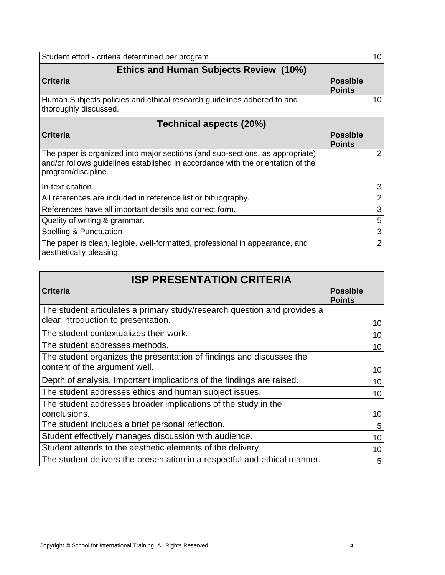| Student effort - criteria determined per program                                                                                                                                        |                                  | 10              |
|-----------------------------------------------------------------------------------------------------------------------------------------------------------------------------------------|----------------------------------|-----------------|
| <b>Ethics and Human Subjects Review (10%)</b>                                                                                                                                           |                                  |                 |
| <b>Criteria</b>                                                                                                                                                                         | <b>Possible</b><br><b>Points</b> |                 |
| Human Subjects policies and ethical research guidelines adhered to and<br>thoroughly discussed.                                                                                         |                                  | 10 <sup>1</sup> |
| Technical aspects (20%)                                                                                                                                                                 |                                  |                 |
| <b>Criteria</b>                                                                                                                                                                         | <b>Possible</b><br><b>Points</b> |                 |
| The paper is organized into major sections (and sub-sections, as appropriate)<br>and/or follows guidelines established in accordance with the orientation of the<br>program/discipline. |                                  | 2               |
| In-text citation.                                                                                                                                                                       |                                  | 3               |
| All references are included in reference list or bibliography.                                                                                                                          |                                  | 2               |
| References have all important details and correct form.                                                                                                                                 |                                  | 3               |
| Quality of writing & grammar.                                                                                                                                                           |                                  | 5               |
| Spelling & Punctuation                                                                                                                                                                  |                                  | 3               |
| The paper is clean, legible, well-formatted, professional in appearance, and<br>aesthetically pleasing.                                                                                 |                                  | 2               |

| <b>ISP PRESENTATION CRITERIA</b>                                                                                |                                  |  |
|-----------------------------------------------------------------------------------------------------------------|----------------------------------|--|
| <b>Criteria</b>                                                                                                 | <b>Possible</b><br><b>Points</b> |  |
| The student articulates a primary study/research question and provides a<br>clear introduction to presentation. | 10                               |  |
| The student contextualizes their work.                                                                          | 10                               |  |
| The student addresses methods.                                                                                  | 10                               |  |
| The student organizes the presentation of findings and discusses the<br>content of the argument well.           | 10                               |  |
| Depth of analysis. Important implications of the findings are raised.                                           | 10                               |  |
| The student addresses ethics and human subject issues.                                                          | 10                               |  |
| The student addresses broader implications of the study in the<br>conclusions.                                  | 10                               |  |
| The student includes a brief personal reflection.                                                               | 5                                |  |
| Student effectively manages discussion with audience.                                                           | 10                               |  |
| Student attends to the aesthetic elements of the delivery.                                                      | 10                               |  |
| The student delivers the presentation in a respectful and ethical manner.                                       | 5                                |  |